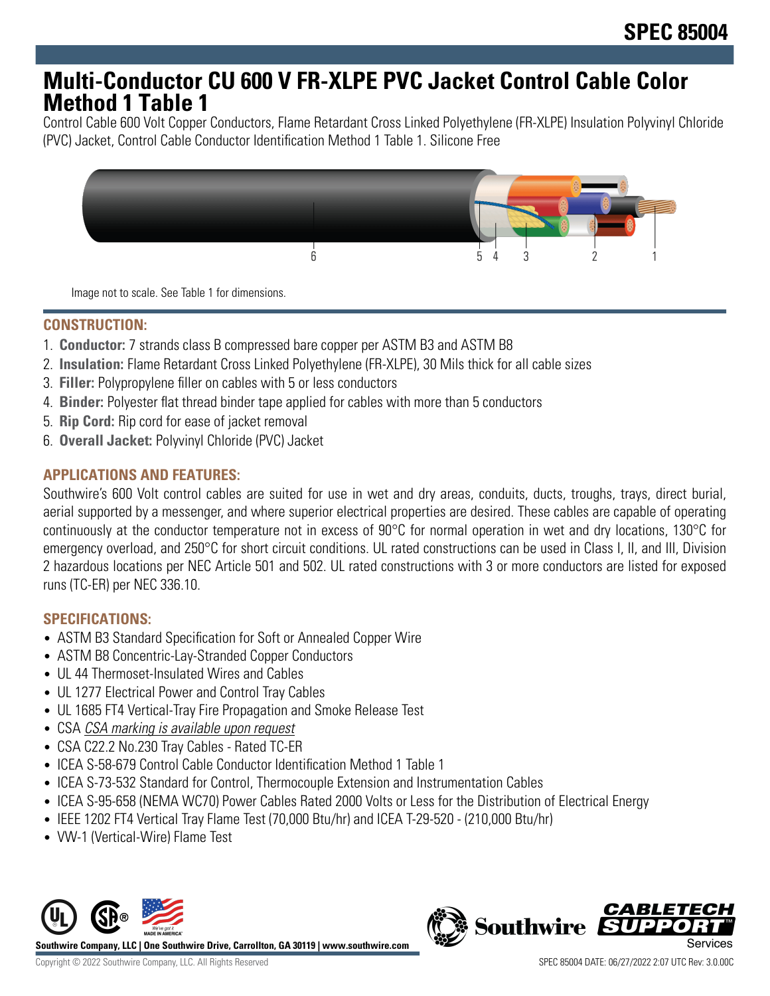## **Multi-Conductor CU 600 V FR-XLPE PVC Jacket Control Cable Color Method 1 Table 1**

Control Cable 600 Volt Copper Conductors, Flame Retardant Cross Linked Polyethylene (FR-XLPE) Insulation Polyvinyl Chloride (PVC) Jacket, Control Cable Conductor Identification Method 1 Table 1. Silicone Free



Image not to scale. See Table 1 for dimensions.

## **CONSTRUCTION:**

- 1. **Conductor:** 7 strands class B compressed bare copper per ASTM B3 and ASTM B8
- 2. **Insulation:** Flame Retardant Cross Linked Polyethylene (FR-XLPE), 30 Mils thick for all cable sizes
- 3. **Filler:** Polypropylene filler on cables with 5 or less conductors
- 4. **Binder:** Polyester flat thread binder tape applied for cables with more than 5 conductors
- 5. **Rip Cord:** Rip cord for ease of jacket removal
- 6. **Overall Jacket:** Polyvinyl Chloride (PVC) Jacket

## **APPLICATIONS AND FEATURES:**

Southwire's 600 Volt control cables are suited for use in wet and dry areas, conduits, ducts, troughs, trays, direct burial, aerial supported by a messenger, and where superior electrical properties are desired. These cables are capable of operating continuously at the conductor temperature not in excess of 90°C for normal operation in wet and dry locations, 130°C for emergency overload, and 250°C for short circuit conditions. UL rated constructions can be used in Class I, II, and III, Division 2 hazardous locations per NEC Article 501 and 502. UL rated constructions with 3 or more conductors are listed for exposed runs (TC-ER) per NEC 336.10.

## **SPECIFICATIONS:**

- ASTM B3 Standard Specification for Soft or Annealed Copper Wire
- ASTM B8 Concentric-Lay-Stranded Copper Conductors
- UL 44 Thermoset-Insulated Wires and Cables
- UL 1277 Electrical Power and Control Tray Cables
- UL 1685 FT4 Vertical-Tray Fire Propagation and Smoke Release Test
- CSA CSA marking is available upon request
- CSA C22.2 No.230 Tray Cables Rated TC-ER
- ICEA S-58-679 Control Cable Conductor Identification Method 1 Table 1
- ICEA S-73-532 Standard for Control, Thermocouple Extension and Instrumentation Cables
- ICEA S-95-658 (NEMA WC70) Power Cables Rated 2000 Volts or Less for the Distribution of Electrical Energy
- IEEE 1202 FT4 Vertical Tray Flame Test (70,000 Btu/hr) and ICEA T-29-520 (210,000 Btu/hr)
- VW-1 (Vertical-Wire) Flame Test



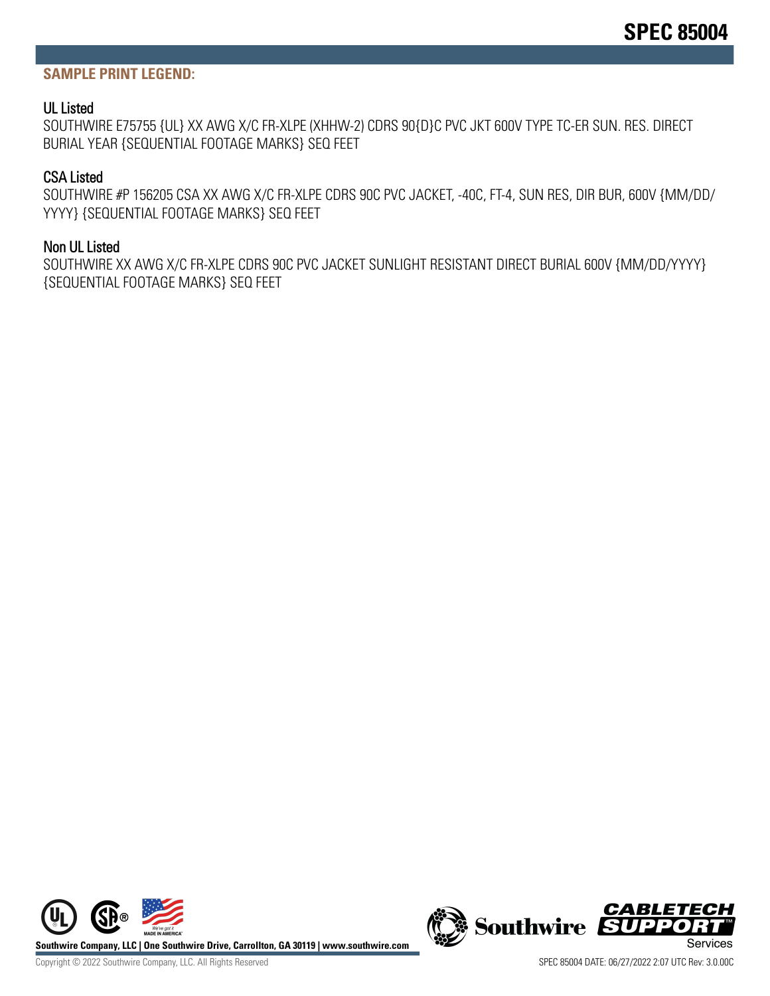#### **SAMPLE PRINT LEGEND:**

#### UL Listed

SOUTHWIRE E75755 {UL} XX AWG X/C FR-XLPE (XHHW-2) CDRS 90{D}C PVC JKT 600V TYPE TC-ER SUN. RES. DIRECT BURIAL YEAR {SEQUENTIAL FOOTAGE MARKS} SEQ FEET

#### CSA Listed

SOUTHWIRE #P 156205 CSA XX AWG X/C FR-XLPE CDRS 90C PVC JACKET, -40C, FT-4, SUN RES, DIR BUR, 600V {MM/DD/ YYYY} {SEQUENTIAL FOOTAGE MARKS} SEQ FEET

#### Non UL Listed

SOUTHWIRE XX AWG X/C FR-XLPE CDRS 90C PVC JACKET SUNLIGHT RESISTANT DIRECT BURIAL 600V {MM/DD/YYYY} {SEQUENTIAL FOOTAGE MARKS} SEQ FEET



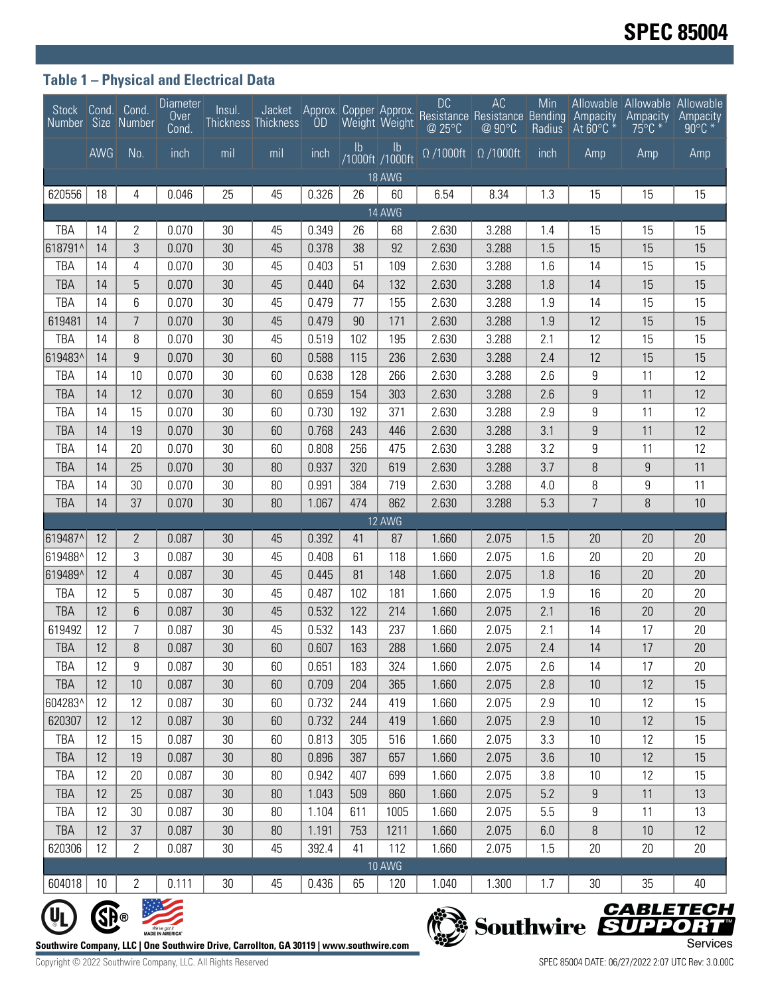## **Table 1 – Physical and Electrical Data**

| Stock Cond. Cond.<br>Number Size Number                                                                                                                                                |            |                     | <b>Diameter</b><br>Over<br>Cond. | Insul.   | <b>Thickness Thickness</b> |                |               | Weight Weight         | <b>DC</b><br>@ 25°C         | AC<br>Jacket Approx. Copper Approx. Resistance Resistance Bending<br>@ 90°C | Min<br>Radius | Ampacity<br>At $60^{\circ}$ C $*$ | Allowable Allowable Allowable<br>Ampacity<br>$75^{\circ}$ C * | Ampacity<br>$90^{\circ}$ C * |
|----------------------------------------------------------------------------------------------------------------------------------------------------------------------------------------|------------|---------------------|----------------------------------|----------|----------------------------|----------------|---------------|-----------------------|-----------------------------|-----------------------------------------------------------------------------|---------------|-----------------------------------|---------------------------------------------------------------|------------------------------|
|                                                                                                                                                                                        | <b>AWG</b> | No.                 | inch                             | mil      | mil                        | inch           | $\mathsf{lb}$ | Ib<br>/1000ft /1000ft | $\overline{\Omega}$ /1000ft | $\Omega$ /1000ft                                                            | inch          | Amp                               | Amp                                                           | Amp                          |
|                                                                                                                                                                                        |            |                     |                                  |          |                            |                |               | <b>18 AWG</b>         |                             |                                                                             |               |                                   |                                                               |                              |
| 620556                                                                                                                                                                                 | 18         | 4                   | 0.046                            | 25       | 45                         | 0.326          | 26            | 60                    | 6.54                        | 8.34                                                                        | 1.3           | 15                                | 15                                                            | 15                           |
| 14 AWG                                                                                                                                                                                 |            |                     |                                  |          |                            |                |               |                       |                             |                                                                             |               |                                   |                                                               |                              |
| TBA                                                                                                                                                                                    | 14         | 2                   | 0.070                            | 30       | 45                         | 0.349          | 26            | 68                    | 2.630                       | 3.288                                                                       | 1.4           | 15                                | 15                                                            | 15                           |
| 618791^                                                                                                                                                                                | 14         | 3                   | 0.070                            | 30       | 45                         | 0.378          | 38            | 92                    | 2.630                       | 3.288                                                                       | 1.5           | 15                                | 15                                                            | 15                           |
| TBA                                                                                                                                                                                    | 14         | 4                   | 0.070                            | 30       | 45                         | 0.403          | 51            | 109                   | 2.630                       | 3.288                                                                       | 1.6           | 14                                | 15                                                            | 15                           |
| <b>TBA</b>                                                                                                                                                                             | 14<br>14   | 5                   | 0.070                            | 30       | 45                         | 0.440          | 64<br>77      | 132                   | 2.630                       | 3.288                                                                       | 1.8           | 14                                | 15                                                            | 15                           |
| TBA<br>619481                                                                                                                                                                          | 14         | 6<br>$\overline{7}$ | 0.070<br>0.070                   | 30<br>30 | 45<br>45                   | 0.479<br>0.479 | 90            | 155<br>171            | 2.630<br>2.630              | 3.288<br>3.288                                                              | 1.9<br>1.9    | 14<br>12                          | 15<br>15                                                      | 15<br>15                     |
| TBA                                                                                                                                                                                    | 14         | 8                   | 0.070                            | 30       | 45                         | 0.519          | 102           | 195                   | 2.630                       | 3.288                                                                       | 2.1           | 12                                | 15                                                            | 15                           |
| 619483^                                                                                                                                                                                | 14         | 9                   | 0.070                            | 30       | 60                         | 0.588          | 115           | 236                   | 2.630                       | 3.288                                                                       | 2.4           | 12                                | 15                                                            | 15                           |
| TBA                                                                                                                                                                                    | 14         | 10                  | 0.070                            | 30       | 60                         | 0.638          | 128           | 266                   | 2.630                       | 3.288                                                                       | 2.6           | 9                                 | 11                                                            | 12                           |
| <b>TBA</b>                                                                                                                                                                             | 14         | 12                  | 0.070                            | 30       | 60                         | 0.659          | 154           | 303                   | 2.630                       | 3.288                                                                       | 2.6           | 9                                 | 11                                                            | 12                           |
| TBA                                                                                                                                                                                    | 14         | 15                  | 0.070                            | 30       | 60                         | 0.730          | 192           | 371                   | 2.630                       | 3.288                                                                       | 2.9           | 9                                 | 11                                                            | 12                           |
| <b>TBA</b>                                                                                                                                                                             | 14         | 19                  | 0.070                            | 30       | 60                         | 0.768          | 243           | 446                   | 2.630                       | 3.288                                                                       | 3.1           | $\boldsymbol{9}$                  | 11                                                            | 12                           |
| TBA                                                                                                                                                                                    | 14         | 20                  | 0.070                            | 30       | 60                         | 0.808          | 256           | 475                   | 2.630                       | 3.288                                                                       | 3.2           | 9                                 | 11                                                            | 12                           |
| <b>TBA</b>                                                                                                                                                                             | 14         | 25                  | 0.070                            | 30       | 80                         | 0.937          | 320           | 619                   | 2.630                       | 3.288                                                                       | 3.7           | $\, 8$                            | $9\,$                                                         | 11                           |
| TBA                                                                                                                                                                                    | 14         | 30                  | 0.070                            | 30       | 80                         | 0.991          | 384           | 719                   | 2.630                       | 3.288                                                                       | 4.0           | 8                                 | 9                                                             | 11                           |
| <b>TBA</b>                                                                                                                                                                             | 14         | 37                  | 0.070                            | 30       | 80                         | 1.067          | 474           | 862                   | 2.630                       | 3.288                                                                       | 5.3           | $\overline{7}$                    | 8                                                             | 10                           |
|                                                                                                                                                                                        |            |                     |                                  |          |                            |                |               | 12 AWG                |                             |                                                                             |               |                                   |                                                               |                              |
| 619487^                                                                                                                                                                                | 12         | 2                   | 0.087                            | 30       | 45                         | 0.392          | 41            | 87                    | 1.660                       | 2.075                                                                       | 1.5           | 20                                | 20                                                            | 20                           |
| 619488^                                                                                                                                                                                | 12         | 3                   | 0.087                            | 30       | 45                         | 0.408          | 61            | 118                   | 1.660                       | 2.075                                                                       | 1.6           | 20                                | 20                                                            | 20                           |
| 619489^                                                                                                                                                                                | 12         | 4                   | 0.087                            | 30       | 45                         | 0.445          | 81            | 148                   | 1.660                       | 2.075                                                                       | 1.8           | 16                                | 20                                                            | 20                           |
| TBA                                                                                                                                                                                    | 12         | 5                   | 0.087                            | 30       | 45                         | 0.487          | 102           | 181                   | 1.660                       | 2.075                                                                       | 1.9           | 16                                | 20                                                            | 20                           |
| <b>TBA</b>                                                                                                                                                                             | 12         | 6                   | 0.087                            | 30       | 45                         | 0.532          | 122           | 214                   | 1.660                       | 2.075                                                                       | 2.1           | 16                                | 20                                                            | 20                           |
| 619492                                                                                                                                                                                 | 12         | 7                   | 0.087                            | 30       | 45                         | 0.532          | 143           | 237                   | 1.660                       | 2.075                                                                       | 2.1           | 14                                | 17                                                            | 20                           |
| TBA                                                                                                                                                                                    | 12         | 8                   | 0.087                            | 30       | 60                         | 0.607          | 163           | 288                   | 1.660                       | 2.075                                                                       | 2.4           | 14                                | 17                                                            | 20                           |
| TBA                                                                                                                                                                                    | 12         | 9                   | 0.087                            | 30       | 60                         | 0.651          | 183           | 324                   | 1.660                       | 2.075                                                                       | 2.6           | 14                                | 17                                                            | 20                           |
| TBA                                                                                                                                                                                    | 12         | 10                  | 0.087                            | 30       | 60                         | 0.709          | 204           | 365                   | 1.660                       | 2.075                                                                       | 2.8           | 10                                | 12                                                            | 15                           |
| 604283^                                                                                                                                                                                | 12         | 12                  | 0.087                            | 30       | 60                         | 0.732          | 244           | 419                   | 1.660                       | 2.075                                                                       | 2.9           | 10                                | 12                                                            | 15                           |
| 620307                                                                                                                                                                                 | 12         | 12                  | 0.087                            | 30       | 60                         | 0.732          | 244           | 419                   | 1.660                       | 2.075                                                                       | 2.9           | 10                                | 12                                                            | 15                           |
| TBA                                                                                                                                                                                    | 12         | 15                  | 0.087                            | 30       | 60                         | 0.813          | 305           | 516                   | 1.660                       | 2.075                                                                       | 3.3           | 10                                | 12                                                            | 15                           |
| <b>TBA</b>                                                                                                                                                                             | 12         | 19                  | 0.087                            | 30       | 80                         | 0.896          | 387           | 657                   | 1.660                       | 2.075                                                                       | 3.6           | 10                                | 12                                                            | 15                           |
| TBA                                                                                                                                                                                    | 12         | 20                  | 0.087                            | 30       | 80                         | 0.942          | 407           | 699                   | 1.660                       | 2.075                                                                       | 3.8           | 10                                | 12                                                            | 15                           |
| <b>TBA</b>                                                                                                                                                                             | 12         | 25                  | 0.087                            | 30       | 80                         | 1.043          | 509           | 860                   | 1.660                       | 2.075                                                                       | 5.2           | $\boldsymbol{9}$                  | 11                                                            | 13                           |
| TBA                                                                                                                                                                                    | 12         | 30                  | 0.087                            | 30       | 80                         | 1.104          | 611           | 1005                  | 1.660                       | 2.075                                                                       | 5.5           | 9                                 | 11                                                            | 13                           |
| TBA                                                                                                                                                                                    | 12         | 37                  | 0.087                            | 30       | 80                         | 1.191          | 753           | 1211                  | 1.660                       | 2.075                                                                       | 6.0           | 8                                 | 10                                                            | 12                           |
| 620306                                                                                                                                                                                 | 12         | $\overline{2}$      | 0.087                            | 30       | 45                         | 392.4          | 41            | 112                   | 1.660                       | 2.075                                                                       | 1.5           | 20                                | 20                                                            | 20                           |
| 10 AWG                                                                                                                                                                                 |            |                     |                                  |          |                            |                |               |                       |                             |                                                                             |               |                                   |                                                               |                              |
| 604018                                                                                                                                                                                 | 10         | 2                   | 0.111                            | $30\,$   | 45                         | 0.436          | 65            | 120                   | 1.040                       | 1.300                                                                       | 1.7           | 30                                | 35                                                            | 40                           |
| <b>CABLETECH</b><br>Southwire SUPPORT<br>We've got it<br><b>MADE IN AMERICA®</b><br>Services<br>Southwire Company, LLC   One Southwire Drive, Carrollton, GA 30119   www.southwire.com |            |                     |                                  |          |                            |                |               |                       |                             |                                                                             |               |                                   |                                                               |                              |